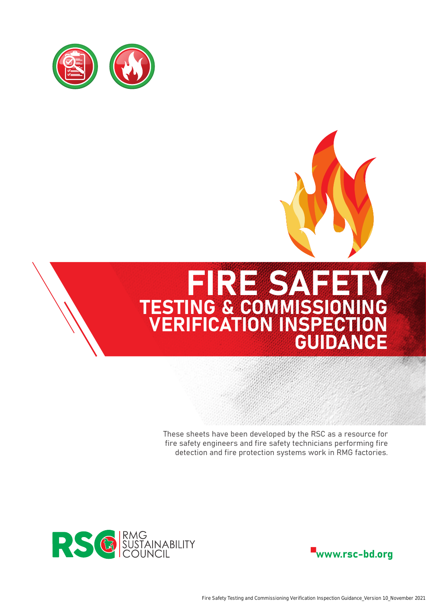



# FIRE SAFETY TESTING & COMMISSIONING VERIFICATION INSPECTION GUIDANCE

These sheets have been developed by the RSC as a resource for fire safety engineers and fire safety technicians performing fire detection and fire protection systems work in RMG factories.



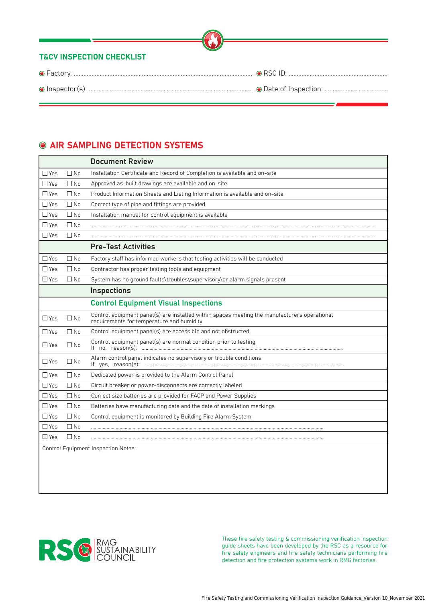# **COMPLING DETECTION SYSTEMS**

|               |              | <b>Document Review</b>                                                                                                                    |
|---------------|--------------|-------------------------------------------------------------------------------------------------------------------------------------------|
| $\Box$ Yes    | $\Box$ No    | Installation Certificate and Record of Completion is available and on-site                                                                |
| $\Box$ Yes    | $\square$ No | Approved as-built drawings are available and on-site                                                                                      |
| $\Box$ Yes    | $\square$ No | Product Information Sheets and Listing Information is available and on-site                                                               |
| $\Box$ Yes    | $\square$ No | Correct type of pipe and fittings are provided                                                                                            |
| $\Box$ Yes    | $\Box$ No    | Installation manual for control equipment is available                                                                                    |
| $\square$ Yes | $\Box$ No    |                                                                                                                                           |
| $\Box$ Yes    | $\Box$ No    |                                                                                                                                           |
|               |              | <b>Pre-Test Activities</b>                                                                                                                |
| $\Box$ Yes    | $\square$ No | Factory staff has informed workers that testing activities will be conducted                                                              |
| $\square$ Yes | $\Box$ No    | Contractor has proper testing tools and equipment                                                                                         |
| $\Box$ Yes    | $\square$ No | System has no ground faults\troubles\supervisory\or alarm signals present                                                                 |
|               |              | <b>Inspections</b>                                                                                                                        |
|               |              | <b>Control Equipment Visual Inspections</b>                                                                                               |
| $\Box$ Yes    | $\square$ No | Control equipment panel(s) are installed within spaces meeting the manufacturers operational<br>requirements for temperature and humidity |
| $\Box$ Yes    | $\square$ No | Control equipment panel(s) are accessible and not obstructed                                                                              |
| $\Box$ Yes    | $\Box$ No    | Control equipment panel(s) are normal condition prior to testing                                                                          |
| $\Box$ Yes    | $\square$ No | Alarm control panel indicates no supervisory or trouble conditions                                                                        |
| $\Box$ Yes    | $\square$ No | Dedicated power is provided to the Alarm Control Panel                                                                                    |
| $\Box$ Yes    | $\square$ No | Circuit breaker or power-disconnects are correctly labeled                                                                                |
| $\square$ Yes | $\square$ No | Correct size batteries are provided for FACP and Power Supplies                                                                           |
| $\Box$ Yes    | $\square$ No | Batteries have manufacturing date and the date of installation markings                                                                   |
| $\square$ Yes | $\square$ No | Control equipment is monitored by Building Fire Alarm System                                                                              |
| $\Box$ Yes    | $\Box$ No    |                                                                                                                                           |
| $\square$ Yes | $\Box$ No    |                                                                                                                                           |
|               |              | <b>Control Equipment Inspection Notes:</b>                                                                                                |
|               |              |                                                                                                                                           |
|               |              |                                                                                                                                           |

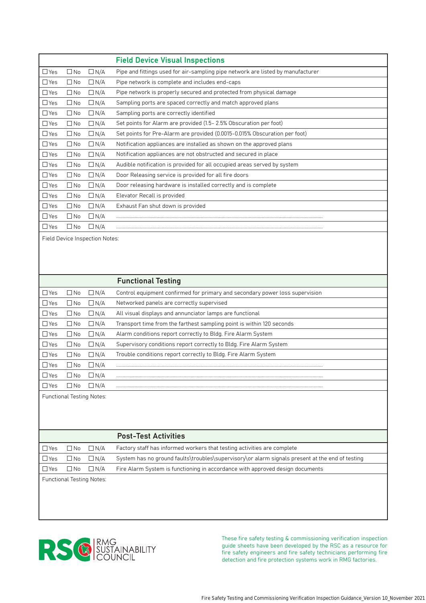|            |              |               | <b>Field Device Visual Inspections</b>                                          |
|------------|--------------|---------------|---------------------------------------------------------------------------------|
| $\Box$ Yes | $\square$ No | $\Box$ N/A    | Pipe and fittings used for air-sampling pipe network are listed by manufacturer |
| $\Box$ Yes | $\Box$ No    | $\Box N/A$    | Pipe network is complete and includes end-caps                                  |
| $\Box$ Yes | $\square$ No | $\Box$ N/A    | Pipe network is properly secured and protected from physical damage             |
| $\Box$ Yes | $\Box$ No    | $\Box N/A$    | Sampling ports are spaced correctly and match approved plans                    |
| $\Box$ Yes | $\square$ No | $\Box N/A$    | Sampling ports are correctly identified                                         |
| $\Box$ Yes | $\Box$ No    | $\Box$ N/A    | Set points for Alarm are provided (1.5 - 2.5% Obscuration per foot)             |
| $\Box$ Yes | $\square$ No | $\Box N/A$    | Set points for Pre-Alarm are provided (0.0015-0.015% Obscuration per foot)      |
| $\Box$ Yes | $\square$ No | $\Box N/A$    | Notification appliances are installed as shown on the approved plans            |
| $\Box$ Yes | $\Box$ No    | $\Box$ N/A    | Notification appliances are not obstructed and secured in place                 |
| $\Box$ Yes | $\Box$ No    | $\Box N/A$    | Audible notification is provided for all occupied areas served by system        |
| $\Box$ Yes | $\square$ No | $\Box N/A$    | Door Releasing service is provided for all fire doors                           |
| $\Box$ Yes | $\square$ No | $\Box N/A$    | Door releasing hardware is installed correctly and is complete                  |
| $\Box$ Yes | $\Box$ No    | $\Box N/A$    | Elevator Recall is provided                                                     |
| $\Box$ Yes | $\square$ No | $\Box N/A$    | Exhaust Fan shut down is provided                                               |
| $\Box$ Yes | $\square$ No | $\Box N/A$    |                                                                                 |
| $\Box$ Yes | $\square$ No | $\square$ N/A |                                                                                 |

Field Device Inspection Notes:

|                                  |           |               | <b>Functional Testing</b>                                                    |
|----------------------------------|-----------|---------------|------------------------------------------------------------------------------|
| ⊿ Yes                            | ∐ No      | $\Box$ N/A    | Control equipment confirmed for primary and secondary power loss supervision |
| ∃Yes                             | $\Box$ No | $\Box N/A$    | Networked panels are correctly supervised                                    |
| $\sqcup$ Yes                     | $\Box$ No | $\Box$ N/A    | All visual displays and annunciator lamps are functional                     |
| $\Box$ Yes                       | $\Box$ No | $\Box N/A$    | Transport time from the farthest sampling point is within 120 seconds        |
| $\Box$ Yes                       | $\Box$ No | $\Box N/A$    | Alarm conditions report correctly to Bldg. Fire Alarm System                 |
| $\Box$ Yes                       | ∐ No      | $\Box$ N/A    | Supervisory conditions report correctly to Bldg. Fire Alarm System           |
| $\Box$ Yes                       | $\Box$ No | $\Box N/A$    | Trouble conditions report correctly to Bldg. Fire Alarm System               |
| <u>S</u> Yes                     | $\Box$ No | $\Box$ N/A    |                                                                              |
| ∃Yes                             | $\Box$ No | $\square$ N/A |                                                                              |
| $\square$ Yes                    | ∟ No      | $\Box$ N/A    |                                                                              |
| <b>Functional Testing Notes:</b> |           |               |                                                                              |

|                                  |              |            | <b>Post-Test Activities</b>                                                                     |
|----------------------------------|--------------|------------|-------------------------------------------------------------------------------------------------|
| $\square$ Yes                    | $\Box$ No    | $\Box$ N/A | Factory staff has informed workers that testing activities are complete                         |
| $\Box$ Yes                       | $\square$ No | $\Box$ N/A | System has no ground faults\troubles\supervisory\or alarm signals present at the end of testing |
| □ Yes                            | $\Box$ No    | $\Box$ N/A | Fire Alarm System is functioning in accordance with approved design documents                   |
| <b>Functional Testing Notes:</b> |              |            |                                                                                                 |

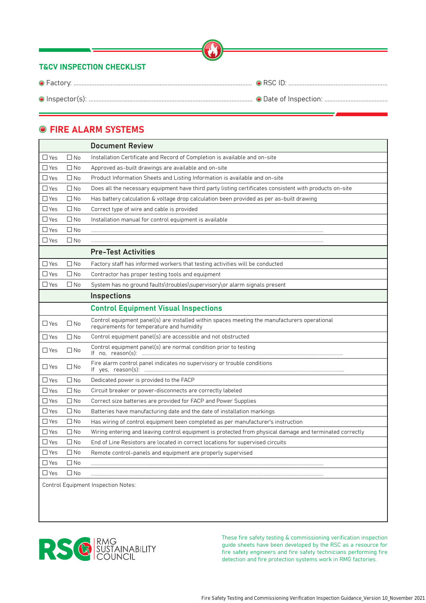|                                      | <u> 1989 - Johann Stein, mars et al. 1989 - Anna ann an t-Anna ann an t-Anna ann an t-Anna ann an t-Anna ann an t-</u> |
|--------------------------------------|------------------------------------------------------------------------------------------------------------------------|
| <b>T&amp;CV INSPECTION CHECKLIST</b> |                                                                                                                        |
|                                      |                                                                                                                        |
|                                      |                                                                                                                        |

# **O FIRE ALARM SYSTEMS**

|               |              | <b>Document Review</b>                                                                                                                    |
|---------------|--------------|-------------------------------------------------------------------------------------------------------------------------------------------|
| $\Box$ Yes    | $\Box$ No    | Installation Certificate and Record of Completion is available and on-site                                                                |
| $\square$ Yes | $\Box$ No    | Approved as-built drawings are available and on-site                                                                                      |
| $\Box$ Yes    | $\square$ No | Product Information Sheets and Listing Information is available and on-site                                                               |
| $\square$ Yes | $\square$ No | Does all the necessary equipment have third party listing certificates consistent with products on-site                                   |
| $\Box$ Yes    | $\Box$ No    | Has battery calculation & voltage drop calculation been provided as per as-built drawing                                                  |
| $\Box$ Yes    | $\square$ No | Correct type of wire and cable is provided                                                                                                |
| $\Box$ Yes    | $\square$ No | Installation manual for control equipment is available                                                                                    |
| $\Box$ Yes    | $\square$ No |                                                                                                                                           |
| $\square$ Yes | $\square$ No |                                                                                                                                           |
|               |              | <b>Pre-Test Activities</b>                                                                                                                |
| $\square$ Yes | $\square$ No | Factory staff has informed workers that testing activities will be conducted                                                              |
| $\square$ Yes | $\square$ No | Contractor has proper testing tools and equipment                                                                                         |
| $\Box$ Yes    | $\square$ No | System has no ground faults\troubles\supervisory\or alarm signals present                                                                 |
|               |              | <b>Inspections</b>                                                                                                                        |
|               |              | <b>Control Equipment Visual Inspections</b>                                                                                               |
| $\square$ Yes | $\square$ No | Control equipment panel(s) are installed within spaces meeting the manufacturers operational<br>requirements for temperature and humidity |
| $\square$ Yes | $\Box$ No    | Control equipment panel(s) are accessible and not obstructed                                                                              |
| $\Box$ Yes    | $\square$ No | Control equipment panel(s) are normal condition prior to testing                                                                          |
| $\square$ Yes | $\Box$ No    | Fire alarm control panel indicates no supervisory or trouble conditions                                                                   |
| $\Box$ Yes    | $\square$ No | Dedicated power is provided to the FACP                                                                                                   |
| $\Box$ Yes    | $\Box$ No    | Circuit breaker or power-disconnects are correctly labeled                                                                                |
| $\Box$ Yes    | $\square$ No | Correct size batteries are provided for FACP and Power Supplies                                                                           |
| $\square$ Yes | $\square$ No | Batteries have manufacturing date and the date of installation markings                                                                   |
| $\Box$ Yes    | $\square$ No | Has wiring of control equipment been completed as per manufacturer's instruction                                                          |
| $\Box$ Yes    | $\square$ No | Wiring entering and leaving control equipment is protected from physical damage and terminated correctly                                  |
| $\Box$ Yes    | $\square$ No | End of Line Resistors are located in correct locations for supervised circuits                                                            |
| $\square$ Yes | $\square$ No | Remote control-panels and equipment are properly supervised                                                                               |
| $\square$ Yes | $\square$ No |                                                                                                                                           |
| $\square$ Yes | $\square$ No |                                                                                                                                           |
|               |              | Control Equipment Increation Natoon                                                                                                       |

ontrol Equipment Inspection Notes:

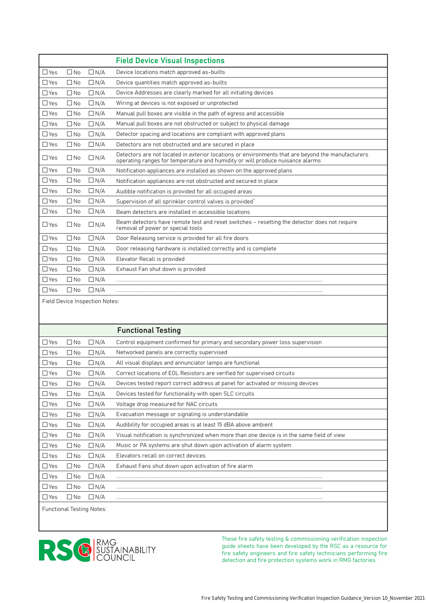|            |              |            | <b>Field Device Visual Inspections</b>                                                                                                                                             |
|------------|--------------|------------|------------------------------------------------------------------------------------------------------------------------------------------------------------------------------------|
| $\Box$ Yes | $\Box$ No    | $\Box N/A$ | Device locations match approved as-builts                                                                                                                                          |
| $\Box$ Yes | $\square$ No | $\Box N/A$ | Device quantities match approved as-builts                                                                                                                                         |
| $\Box$ Yes | $\Box$ No    | $\Box N/A$ | Device Addresses are clearly marked for all initiating devices                                                                                                                     |
| $\Box$ Yes | $\square$ No | $\Box N/A$ | Wiring at devices is not exposed or unprotected                                                                                                                                    |
| $\Box$ Yes | $\square$ No | $\Box N/A$ | Manual pull boxes are visible in the path of egress and accessible                                                                                                                 |
| $\Box$ Yes | $\square$ No | $\Box N/A$ | Manual pull boxes are not obstructed or subject to physical damage                                                                                                                 |
| $\Box$ Yes | $\square$ No | $\Box N/A$ | Detector spacing and locations are compliant with approved plans                                                                                                                   |
| $\Box$ Yes | $\square$ No | $\Box N/A$ | Detectors are not obstructed and are secured in place                                                                                                                              |
| $\Box$ Yes | $\Box$ No    | $\Box N/A$ | Detectors are not located in exterior locations or environments that are beyond the manufacturers<br>operating ranges for temperature and humidity or will produce nuisance alarms |
| $\Box$ Yes | $\square$ No | $\Box N/A$ | Notification appliances are installed as shown on the approved plans                                                                                                               |
| $\Box$ Yes | $\Box$ No    | $\Box N/A$ | Notification appliances are not obstructed and secured in place                                                                                                                    |
| $\Box$ Yes | $\Box$ No    | $\Box N/A$ | Audible notification is provided for all occupied areas                                                                                                                            |
| $\Box$ Yes | $\square$ No | $\Box N/A$ | Supervision of all sprinkler control valves is provided'                                                                                                                           |
| $\Box$ Yes | $\square$ No | $\Box N/A$ | Beam detectors are installed in accessible locations                                                                                                                               |
| $\Box$ Yes | $\square$ No | $\Box N/A$ | Beam detectors have remote test and reset switches - resetting the detector does not require<br>removal of power or special tools                                                  |
| $\Box$ Yes | $\Box$ No    | $\Box N/A$ | Door Releasing service is provided for all fire doors                                                                                                                              |
| $\Box$ Yes | $\Box$ No    | $\Box N/A$ | Door releasing hardware is installed correctly and is complete                                                                                                                     |
| $\Box$ Yes | $\square$ No | $\Box N/A$ | Elevator Recall is provided                                                                                                                                                        |
| $\Box$ Yes | $\square$ No | $\Box N/A$ | Exhaust Fan shut down is provided                                                                                                                                                  |
| $\Box$ Yes | $\square$ No | $\Box N/A$ |                                                                                                                                                                                    |
| $\Box$ Yes | $\Box$ No    | $\Box N/A$ |                                                                                                                                                                                    |
|            |              |            |                                                                                                                                                                                    |

Field Device Inspection Notes:

|               |              |                                  | <b>Functional Testing</b>                                                                  |
|---------------|--------------|----------------------------------|--------------------------------------------------------------------------------------------|
| $\Box$ Yes    | $\square$ No | $\Box N/A$                       | Control equipment confirmed for primary and secondary power loss supervision               |
| $\square$ Yes | $\square$ No | $\Box N/A$                       | Networked panels are correctly supervised                                                  |
| $\Box$ Yes    | $\square$ No | $\Box N/A$                       | All visual displays and annunciator lamps are functional                                   |
| $\Box$ Yes    | $\square$ No | $\Box N/A$                       | Correct locations of EOL Resistors are verified for supervised circuits                    |
| $\Box$ Yes    | $\Box$ No    | $\Box N/A$                       | Devices tested report correct address at panel for activated or missing devices            |
| $\Box$ Yes    | $\Box$ No    | $\Box N/A$                       | Devices tested for functionality with open SLC circuits                                    |
| $\Box$ Yes    | $\square$ No | $\Box N/A$                       | Voltage drop measured for NAC circuits                                                     |
| $\Box$ Yes    | $\Box$ No    | $\Box$ N/A                       | Evacuation message or signaling is understandable                                          |
| $\Box$ Yes    | $\square$ No | $\Box N/A$                       | Audibility for occupied areas is at least 15 dBA above ambient                             |
| $\Box$ Yes    | $\Box$ No    | $\Box N/A$                       | Visual notification is synchronized when more than one device is in the same field of view |
| $\Box$ Yes    | $\square$ No | $\Box N/A$                       | Music or PA systems are shut down upon activation of alarm system                          |
| $\Box$ Yes    | $\square$ No | $\Box N/A$                       | Elevators recall on correct devices                                                        |
| $\Box$ Yes    | $\square$ No | $\Box N/A$                       | Exhaust Fans shut down upon activation of fire alarm                                       |
| $\Box$ Yes    | $\square$ No | $\Box N/A$                       |                                                                                            |
| $\Box$ Yes    | $\Box$ No    | $\Box$ N/A                       |                                                                                            |
| $\Box$ Yes    | $\square$ No | $\Box N/A$                       |                                                                                            |
|               |              | <b>Functional Testing Notes:</b> |                                                                                            |

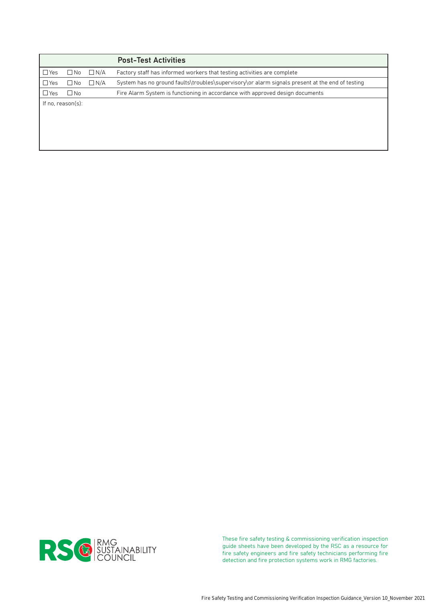|                   |            | <b>Post-Test Activities</b>                                                                     |
|-------------------|------------|-------------------------------------------------------------------------------------------------|
| ∐ No              | $\Box N/A$ | Factory staff has informed workers that testing activities are complete                         |
| $\square$ No      | $\Box$ N/A | System has no ground faults\troubles\supervisory\or alarm signals present at the end of testing |
| $\Box$ No         |            | Fire Alarm System is functioning in accordance with approved design documents                   |
| If no, reason(s): |            |                                                                                                 |
|                   |            |                                                                                                 |
|                   |            |                                                                                                 |
|                   |            |                                                                                                 |

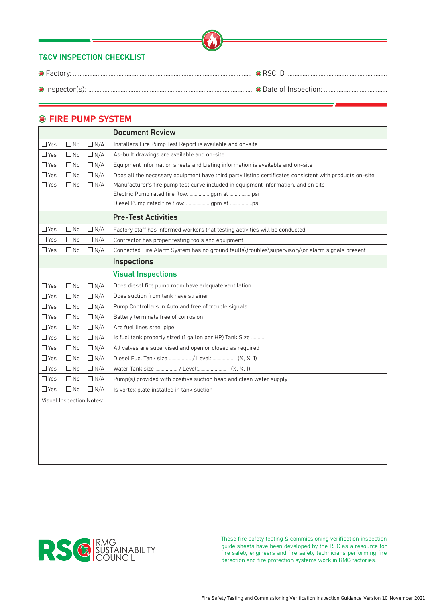#### **O FIRE PUMP SYSTEM**

|            |                          |            | <b>Document Review</b>                                                                                  |
|------------|--------------------------|------------|---------------------------------------------------------------------------------------------------------|
| $\Box$ Yes | $\Box$ No                | $\Box N/A$ | Installers Fire Pump Test Report is available and on-site                                               |
| $\Box$ Yes | $\square$ No             | $\Box N/A$ | As-built drawings are available and on-site                                                             |
| $\Box$ Yes | $\Box$ No                | $\Box N/A$ | Equipment information sheets and Listing information is available and on-site                           |
| $\Box$ Yes | $\square$ No             | $\Box N/A$ | Does all the necessary equipment have third party listing certificates consistent with products on-site |
| $\Box$ Yes | $\Box$ No                | $\Box N/A$ | Manufacturer's fire pump test curve included in equipment information, and on site                      |
|            |                          |            | Electric Pump rated fire flow:  gpm at psi                                                              |
|            |                          |            | Diesel Pump rated fire flow:  gpm at psi                                                                |
|            |                          |            | <b>Pre-Test Activities</b>                                                                              |
| $\Box$ Yes | $\Box$ No                | $\Box N/A$ | Factory staff has informed workers that testing activities will be conducted                            |
| $\Box$ Yes | $\square$ No             | $\Box N/A$ | Contractor has proper testing tools and equipment                                                       |
| $\Box$ Yes | $\Box$ No                | $\Box N/A$ | Connected Fire Alarm System has no ground faults\troubles\supervisory\or alarm signals present          |
|            |                          |            | <b>Inspections</b>                                                                                      |
|            |                          |            | <b>Visual Inspections</b>                                                                               |
| $\Box$ Yes | $\Box$ No                | $\Box N/A$ | Does diesel fire pump room have adequate ventilation                                                    |
| $\Box$ Yes | $\square$ No             | $\Box N/A$ | Does suction from tank have strainer                                                                    |
| $\Box$ Yes | $\Box$ No                | $\Box N/A$ | Pump Controllers in Auto and free of trouble signals                                                    |
| $\Box$ Yes | $\square$ No             | $\Box N/A$ | Battery terminals free of corrosion                                                                     |
| $\Box$ Yes | $\Box$ No                | $\Box N/A$ | Are fuel lines steel pipe                                                                               |
| $\Box$ Yes | $\square$ No             | $\Box N/A$ | Is fuel tank properly sized (1 gallon per HP) Tank Size                                                 |
| $\Box$ Yes | $\Box$ No                | $\Box N/A$ | All valves are supervised and open or closed as required                                                |
| $\Box$ Yes | $\Box$ No                | $\Box N/A$ | Diesel Fuel Tank size  / Level  (1/2, 3/4, 1)                                                           |
| $\Box$ Yes | $\Box$ No                | $\Box N/A$ | Water Tank size  / Level  (1/2, 3/4, 1)                                                                 |
| $\Box$ Yes | $\square$ No             | $\Box N/A$ | Pump(s) provided with positive suction head and clean water supply                                      |
| $\Box$ Yes | $\square$ No             | $\Box N/A$ | Is vortex plate installed in tank suction                                                               |
|            | Visual Inspection Notes: |            |                                                                                                         |
|            |                          |            |                                                                                                         |
|            |                          |            |                                                                                                         |
|            |                          |            |                                                                                                         |

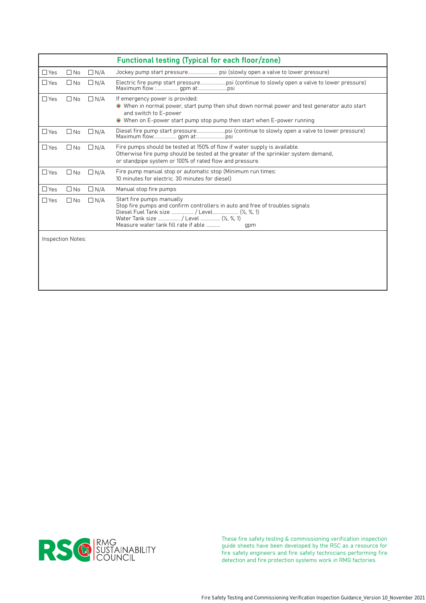|            |                   |            | <b>Functional testing (Typical for each floor/zone)</b>                                                                                                                                                                                             |
|------------|-------------------|------------|-----------------------------------------------------------------------------------------------------------------------------------------------------------------------------------------------------------------------------------------------------|
| $\Box$ Yes | $\square$ No      | $\Box$ N/A | Jockey pump start pressure psi (slowly open a valve to lower pressure)                                                                                                                                                                              |
| $\Box$ Yes | $\square$ No      | $\Box$ N/A |                                                                                                                                                                                                                                                     |
| $\Box$ Yes | $\square$ No      | $\Box$ N/A | If emergency power is provided:<br>● When in normal power, start pump then shut down normal power and test generator auto start<br>and switch to E-power<br>● When on E-power start pump stop pump then start when E-power running                  |
| $\Box$ Yes | $\square$ No      | $\Box$ N/A |                                                                                                                                                                                                                                                     |
| $\Box$ Yes | $\Box$ No         | $\Box$ N/A | Fire pumps should be tested at 150% of flow if water supply is available.<br>Otherwise fire pump should be tested at the greater of the sprinkler system demand,<br>or standpipe system or 100% of rated flow and pressure.                         |
| $\Box$ Yes | $\square$ No      | $\Box$ N/A | Fire pump manual stop or automatic stop (Minimum run times:<br>10 minutes for electric. 30 minutes for diesel)                                                                                                                                      |
| $\Box$ Yes | $\Box$ No         | $\Box N/A$ | Manual stop fire pumps                                                                                                                                                                                                                              |
| $\Box$ Yes | $\square$ No      | $\Box N/A$ | Start fire pumps manually<br>Stop fire pumps and confirm controllers in auto and free of troubles signals<br>Diesel Fuel Tank size  / Level (1/2, 3/4, 1)<br>Water Tank size  / Level  (1/2, 3/4, 1)<br>Measure water tank fill rate if able<br>qpm |
|            | Inspection Notes: |            |                                                                                                                                                                                                                                                     |
|            |                   |            |                                                                                                                                                                                                                                                     |

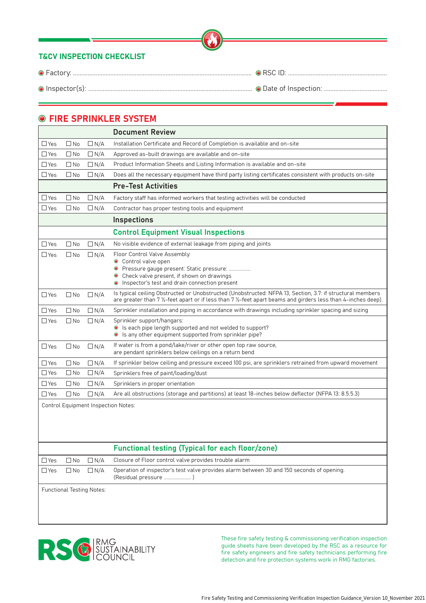## **O FIRE SPRINKLER SYSTEM**

|               |              |            | <b>Document Review</b>                                                                                                                                                                                                                            |
|---------------|--------------|------------|---------------------------------------------------------------------------------------------------------------------------------------------------------------------------------------------------------------------------------------------------|
| $\Box$ Yes    | $\Box$ No    | $\Box N/A$ | Installation Certificate and Record of Completion is available and on-site                                                                                                                                                                        |
| $\Box$ Yes    | $\square$ No | $\Box N/A$ | Approved as-built drawings are available and on-site                                                                                                                                                                                              |
| $\Box$ Yes    | $\Box$ No    | $\Box N/A$ | Product Information Sheets and Listing Information is available and on-site                                                                                                                                                                       |
| $\Box$ Yes    | $\square$ No | $\Box N/A$ | Does all the necessary equipment have third party listing certificates consistent with products on-site                                                                                                                                           |
|               |              |            | <b>Pre-Test Activities</b>                                                                                                                                                                                                                        |
| $\Box$ Yes    | $\square$ No | $\Box N/A$ | Factory staff has informed workers that testing activities will be conducted                                                                                                                                                                      |
| $\Box$ Yes    | $\Box$ No    | $\Box$ N/A | Contractor has proper testing tools and equipment                                                                                                                                                                                                 |
|               |              |            | <b>Inspections</b>                                                                                                                                                                                                                                |
|               |              |            | <b>Control Equipment Visual Inspections</b>                                                                                                                                                                                                       |
| $\Box$ Yes    | $\square$ No | $\Box N/A$ | No visible evidence of external leakage from piping and joints                                                                                                                                                                                    |
| $\Box$ Yes    | $\square$ No | $\Box$ N/A | Floor Control Valve Assembly:<br>Control valve open<br>$\bullet$<br>Pressure gauge present: Static pressure:<br>$\bullet$<br>Check valve present, if shown on drawings<br>$\bullet$<br>Inspector's test and drain connection present              |
| $\Box$ Yes    | $\square$ No | $\Box N/A$ | Is typical ceiling Obstructed or Unobstructed (Unobstructed: NFPA 13, Section, 3.7: if structural members<br>are greater than 7 $\frac{1}{2}$ -feet apart or if less than 7 $\frac{1}{2}$ -feet apart beams and girders less than 4-inches deep). |
| $\Box$ Yes    | $\Box$ No    | $\Box N/A$ | Sprinkler installation and piping in accordance with drawings including sprinkler spacing and sizing                                                                                                                                              |
| $\Box$ Yes    | $\square$ No | $\Box N/A$ | Sprinkler support/hangars:<br>Is each pipe length supported and not welded to support?<br>Is any other equipment supported from sprinkler pipe?<br>$\bullet$                                                                                      |
| $\Box$ Yes    | $\square$ No | $\Box N/A$ | If water is from a pond/lake/river or other open top raw source,<br>are pendant sprinklers below ceilings on a return bend                                                                                                                        |
| $\Box$ Yes    | $\square$ No | $\Box$ N/A | If sprinkler below ceiling and pressure exceed 100 psi, are sprinklers retrained from upward movement                                                                                                                                             |
| $\Box$ Yes    | $\Box$ No    | $\Box N/A$ | Sprinklers free of paint/loading/dust                                                                                                                                                                                                             |
| $\Box$ Yes    | $\Box$ No    | $\Box$ N/A | Sprinklers in proper orientation                                                                                                                                                                                                                  |
| $\square$ Yes | $\square$ No | $\Box N/A$ | Are all obstructions (storage and partitions) at least 18-inches below deflector (NFPA 13: 8.5.5.3)                                                                                                                                               |

Control Equipment Inspection Notes:

#### Functional testing (Typical for each floor/zone)

| $\Box$ Yes                       | $\Box$ No | $\Box$ N/A | Closure of Floor control valve provides trouble alarm                                                             |
|----------------------------------|-----------|------------|-------------------------------------------------------------------------------------------------------------------|
| $\Box$ Yes                       | $\Box$ No | I N/A      | Operation of inspector's test valve provides alarm between 30 and 150 seconds of opening.<br>(Residual pressure ) |
| <b>Functional Testing Notes:</b> |           |            |                                                                                                                   |

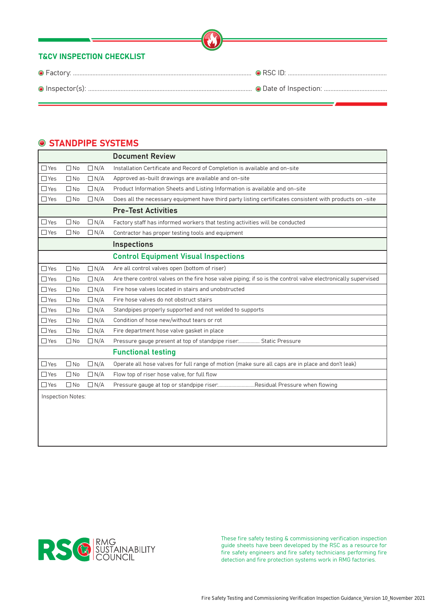### **● STANDPIPE SYSTEMS**

|            |                   |            | <b>Document Review</b>                                                                                       |
|------------|-------------------|------------|--------------------------------------------------------------------------------------------------------------|
| $\Box$ Yes | $\square$ No      | $\Box N/A$ | Installation Certificate and Record of Completion is available and on-site                                   |
| $\Box$ Yes | $\Box$ No         | $\Box N/A$ | Approved as-built drawings are available and on-site                                                         |
| $\Box$ Yes | $\Box$ No         | $\Box N/A$ | Product Information Sheets and Listing Information is available and on-site                                  |
| $\Box$ Yes | $\Box$ No         | $\Box N/A$ | Does all the necessary equipment have third party listing certificates consistent with products on -site     |
|            |                   |            | <b>Pre-Test Activities</b>                                                                                   |
| $\Box$ Yes | $\square$ No      | $\Box N/A$ | Factory staff has informed workers that testing activities will be conducted                                 |
| $\Box$ Yes | $\square$ No      | $\Box N/A$ | Contractor has proper testing tools and equipment                                                            |
|            |                   |            | <b>Inspections</b>                                                                                           |
|            |                   |            | <b>Control Equipment Visual Inspections</b>                                                                  |
| $\Box$ Yes | $\square$ No      | $\Box N/A$ | Are all control valves open (bottom of riser)                                                                |
| $\Box$ Yes | $\square$ No      | $\Box N/A$ | Are there control valves on the fire hose valve piping; if so is the control valve electronically supervised |
| $\Box$ Yes | $\Box$ No         | $\Box N/A$ | Fire hose valves located in stairs and unobstructed                                                          |
| $\Box$ Yes | $\Box$ No         | $\Box N/A$ | Fire hose valves do not obstruct stairs                                                                      |
| $\Box$ Yes | $\Box$ No         | $\Box N/A$ | Standpipes properly supported and not welded to supports                                                     |
| $\Box$ Yes | $\square$ No      | $\Box N/A$ | Condition of hose new/without tears or rot                                                                   |
| $\Box$ Yes | $\square$ No      | $\Box N/A$ | Fire department hose valve gasket in place                                                                   |
| $\Box$ Yes | $\square$ No      | $\Box N/A$ | Pressure gauge present at top of standpipe riser Static Pressure                                             |
|            |                   |            | <b>Functional testing</b>                                                                                    |
| $\Box$ Yes | $\Box$ No         | $\Box N/A$ | Operate all hose valves for full range of motion (make sure all caps are in place and don't leak)            |
| $\Box$ Yes | $\square$ No      | $\Box N/A$ | Flow top of riser hose valve, for full flow                                                                  |
| $\Box$ Yes | $\square$ No      | $\Box N/A$ | Pressure gauge at top or standpipe riserResidual Pressure when flowing                                       |
|            | Inspection Notes: |            |                                                                                                              |